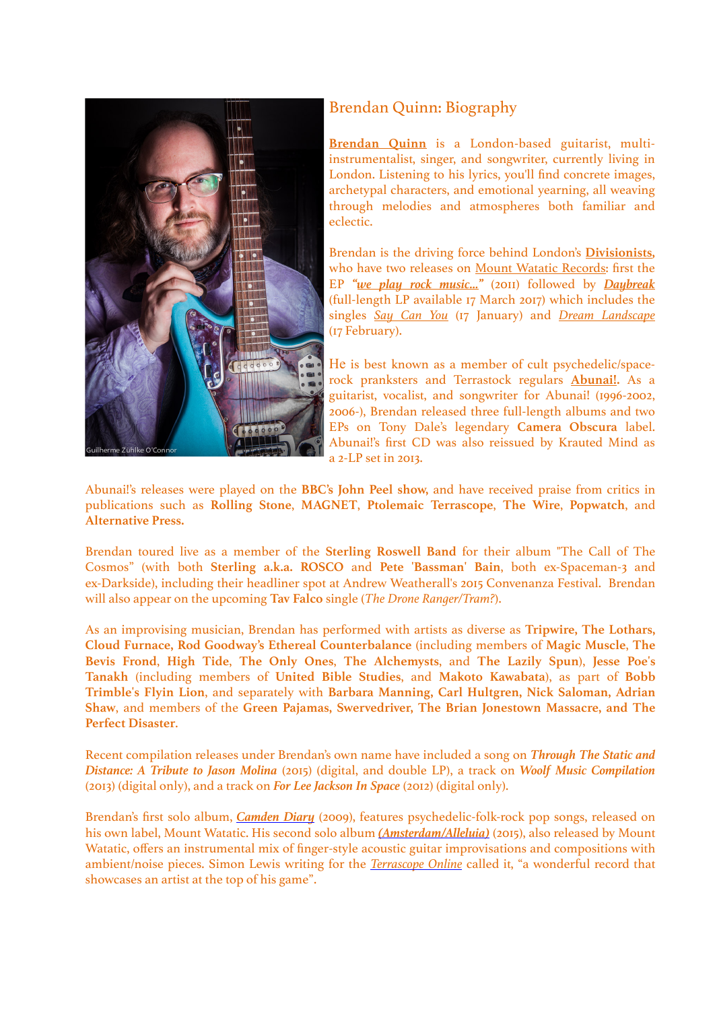

## Brendan Quinn: Biography

**[Brendan Quinn](http://beq00000.bandcamp.com/)** is a London-based guitarist, multiinstrumentalist, singer, and songwriter, currently living in London. Listening to his lyrics, you'll find concrete images, archetypal characters, and emotional yearning, all weaving through melodies and atmospheres both familiar and eclectic.

Brendan is the driving force behind London's **[Divisionists](http://www.divisionists.co.uk/),** who have two releases on [Mount Watatic Records:](http://www.mountwatatic.co.uk/) first the EP *["we play rock music…"](https://divisionists.bandcamp.com/album/we-play-rock-music)* (2011) followed by *[Daybreak](https://divisionists.bandcamp.com/)* (full-length LP available 17 March 2017) which includes the singles *[Say Can You](https://divisionists.bandcamp.com/track/say-can-you)* (17 January) and *[Dream Landscape](https://divisionists.bandcamp.com/track/dream-landscape)* (17 February).

He is best known as a member of cult psychedelic/spacerock pranksters and Terrastock regulars **[Abunai!.](http://abunai.bandcamp.com/)** As a guitarist, vocalist, and songwriter for Abunai! (1996-2002, 2006-), Brendan released three full-length albums and two EPs on Tony Dale's legendary **Camera Obscura** label. Abunai!'s first CD was also reissued by Krauted Mind as a 2-LP set in 2013.

Abunai!'s releases were played on the **BBC's John Peel show,** and have received praise from critics in publications such as **Rolling Stone**, **MAGNET**, **Ptolemaic Terrascope**, **The Wire**, **Popwatch**, and **Alternative Press.** 

Brendan toured live as a member of the **Sterling Roswell Band** for their album "The Call of The Cosmos" (with both **Sterling a.k.a. ROSCO** and **Pete 'Bassman' Bain**, both ex-Spaceman-3 and ex-Darkside), including their headliner spot at Andrew Weatherall's 2015 Convenanza Festival. Brendan will also appear on the upcoming **Tav Falco** single (*The Drone Ranger/Tram?*).

As an improvising musician, Brendan has performed with artists as diverse as **Tripwire, The Lothars, Cloud Furnace, Rod Goodway's Ethereal Counterbalance** (including members of **Magic Muscle**, **The Bevis Frond**, **High Tide**, **The Only Ones**, **The Alchemysts**, and **The Lazily Spun**), **Jesse Poe's Tanakh** (including members of **United Bible Studies**, and **Makoto Kawabata**), as part of **Bobb Trimble's Flyin Lion**, and separately with **Barbara Manning, Carl Hultgren, Nick Saloman, Adrian Shaw**, and members of the **Green Pajamas, Swervedriver, The Brian Jonestown Massacre, and The Perfect Disaster**.

Recent compilation releases under Brendan's own name have included a song on *Through The Static and Distance: A Tribute to Jason Molina* (2015) (digital, and double LP), a track on *Woolf Music Compilation* (2013) (digital only), and a track on *For Lee Jackson In Space* (2012) (digital only).

Brendan's first solo album, *[Camden Diary](https://beq00000.bandcamp.com/album/camden-diary)* (2009), features psychedelic-folk-rock pop songs, released on his own label, Mount Watatic. His second solo album *[\(Amsterdam/Alleluia\)](https://beq00000.bandcamp.com/album/amsterdam-alleluia)* (2015), also released by Mount Watatic, offers an instrumental mix of finger-style acoustic guitar improvisations and compositions with ambient/noise pieces. Simon Lewis writing for the *[Terrascope Online](http://www.terrascope.co.uk/Reviews/Reviews_June_15.htm#BrQuinn)* called it, "a wonderful record that showcases an artist at the top of his game".